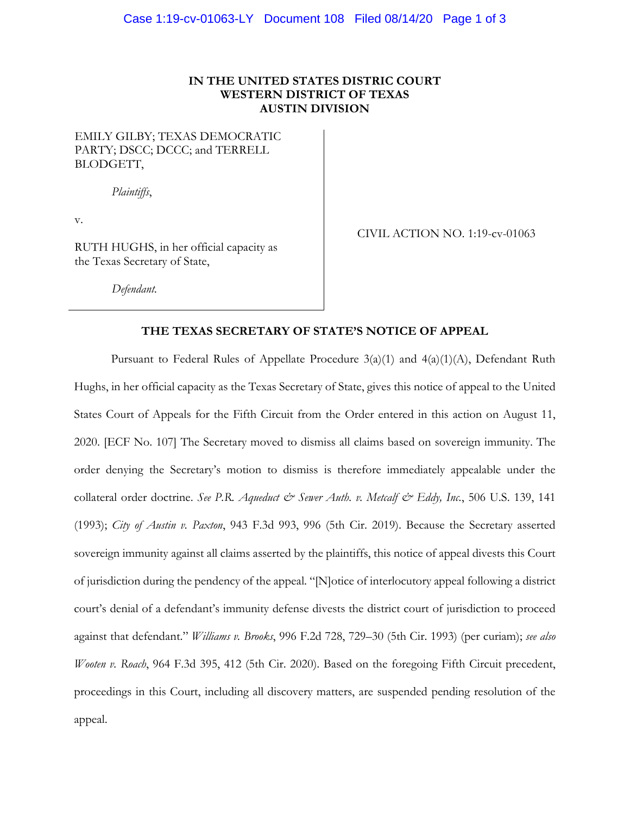### **IN THE UNITED STATES DISTRIC COURT WESTERN DISTRICT OF TEXAS AUSTIN DIVISION**

## EMILY GILBY; TEXAS DEMOCRATIC PARTY; DSCC; DCCC; and TERRELL BLODGETT,

*Plaintiffs*,

v.

RUTH HUGHS, in her official capacity as the Texas Secretary of State,

CIVIL ACTION NO. 1:19-cv-01063

*Defendant.*

#### **THE TEXAS SECRETARY OF STATE'S NOTICE OF APPEAL**

Pursuant to Federal Rules of Appellate Procedure  $3(a)(1)$  and  $4(a)(1)(A)$ , Defendant Ruth Hughs, in her official capacity as the Texas Secretary of State, gives this notice of appeal to the United States Court of Appeals for the Fifth Circuit from the Order entered in this action on August 11, 2020. [ECF No. 107] The Secretary moved to dismiss all claims based on sovereign immunity. The order denying the Secretary's motion to dismiss is therefore immediately appealable under the collateral order doctrine. *See P.R. Aqueduct & Sewer Auth. v. Metcalf & Eddy, Inc.*, 506 U.S. 139, 141 (1993); *City of Austin v. Paxton*, 943 F.3d 993, 996 (5th Cir. 2019). Because the Secretary asserted sovereign immunity against all claims asserted by the plaintiffs, this notice of appeal divests this Court of jurisdiction during the pendency of the appeal. "[N]otice of interlocutory appeal following a district court's denial of a defendant's immunity defense divests the district court of jurisdiction to proceed against that defendant." *Williams v. Brooks*, 996 F.2d 728, 729–30 (5th Cir. 1993) (per curiam); *see also Wooten v. Roach*, 964 F.3d 395, 412 (5th Cir. 2020). Based on the foregoing Fifth Circuit precedent, proceedings in this Court, including all discovery matters, are suspended pending resolution of the appeal.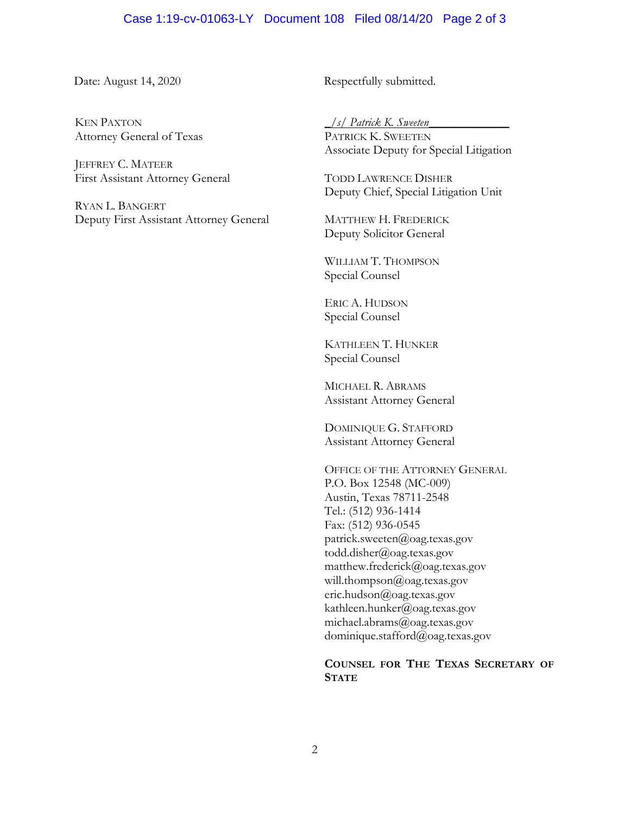# Case 1:19-cv-01063-LY Document 108 Filed 08/14/20 Page 2 of 3

KEN PAXTON Attorney General of Texas

JEFFREY C. MATEER First Assistant Attorney General

RYAN L. BANGERT Deputy First Assistant Attorney General

Date: August 14, 2020 Respectfully submitted.

*\_/s/ Patrick K. Sweeten\_\_\_\_\_\_\_\_\_\_\_\_\_*

PATRICK K. SWEETEN Associate Deputy for Special Litigation

TODD LAWRENCE DISHER Deputy Chief, Special Litigation Unit

MATTHEW H. FREDERICK Deputy Solicitor General

WILLIAM T. THOMPSON Special Counsel

ERIC A. HUDSON Special Counsel

KATHLEEN T. HUNKER Special Counsel

MICHAEL R. ABRAMS Assistant Attorney General

DOMINIQUE G. STAFFORD Assistant Attorney General

OFFICE OF THE ATTORNEY GENERAL P.O. Box 12548 (MC-009) Austin, Texas 78711-2548 Tel.: (512) 936-1414 Fax: (512) 936-0545 patrick.sweeten@oag.texas.gov todd.disher@oag.texas.gov matthew.frederick@oag.texas.gov will.thompson@oag.texas.gov eric.hudson@oag.texas.gov kathleen.hunker@oag.texas.gov michael.abrams@oag.texas.gov dominique.stafford@oag.texas.gov

### **COUNSEL FOR THE TEXAS SECRETARY OF STATE**